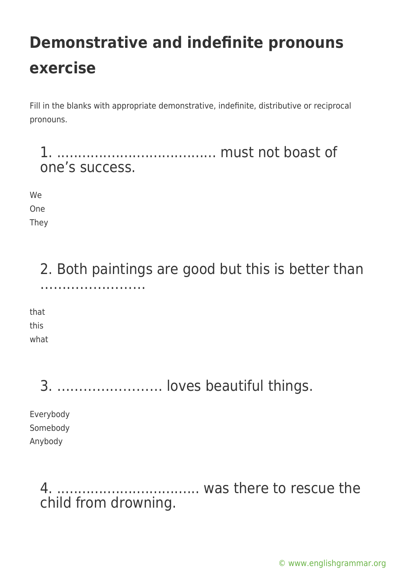Fill in the blanks with appropriate demonstrative, indefinite, distributive or reciprocal pronouns.

1. ...................................... must not boast of one's success.

We One They

> 2. Both paintings are good but this is better than ……………………

that this what

3. …………………… loves beautiful things.

Everybody Somebody Anybody

> 4. .................................. was there to rescue the child from drowning.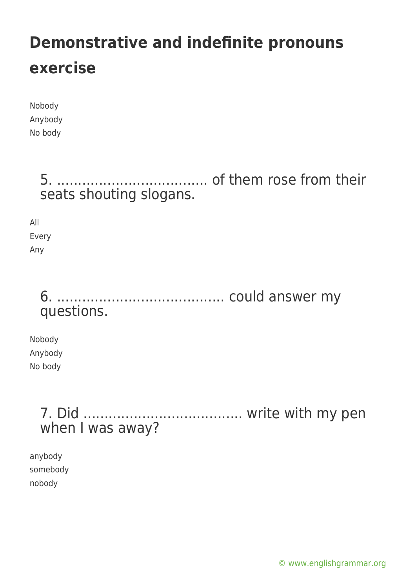| Nobody  |
|---------|
| Anybody |
| No body |

5. .................................... of them rose from their seats shouting slogans.

All Every Any

### 6. ........................................ could answer my questions.

Nobody Anybody No body

> 7. Did ...................................... write with my pen when I was away?

anybody somebody nobody

[© www.englishgrammar.org](https://www.englishgrammar.org/)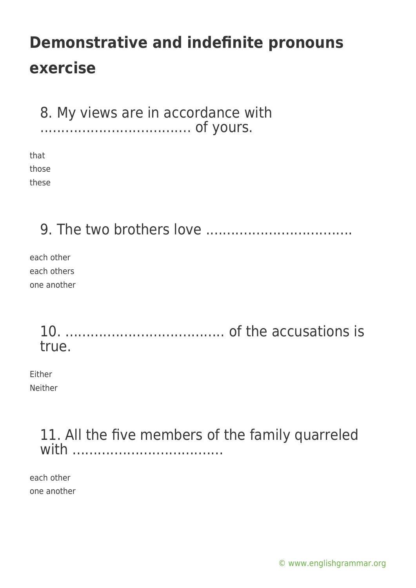8. My views are in accordance with .................................... of yours.

that those these

9. The two brothers love ...................................

each other each others one another

> 10. ...................................... of the accusations is true.

Either Neither

#### 11. All the five members of the family quarreled with ....................................

each other one another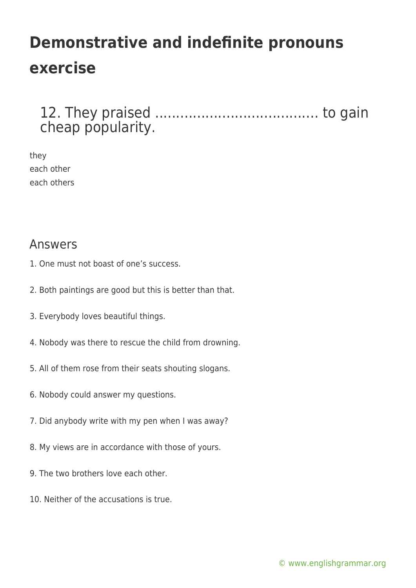12. They praised ....................................... to gain cheap popularity.

they each other each others

#### Answers

- 1. One must not boast of one's success.
- 2. Both paintings are good but this is better than that.
- 3. Everybody loves beautiful things.
- 4. Nobody was there to rescue the child from drowning.
- 5. All of them rose from their seats shouting slogans.
- 6. Nobody could answer my questions.
- 7. Did anybody write with my pen when I was away?
- 8. My views are in accordance with those of yours.
- 9. The two brothers love each other.
- 10. Neither of the accusations is true.